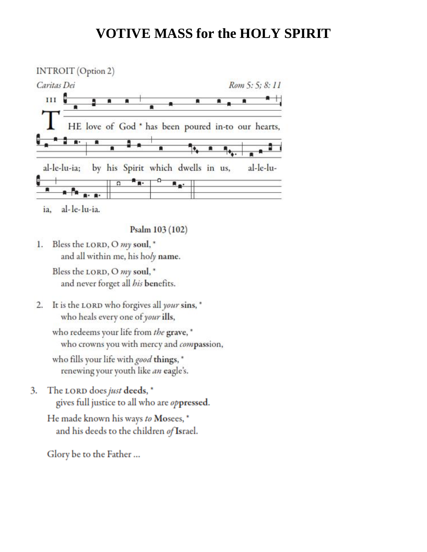## **VOTIVE MASS for the HOLY SPIRIT**



al-le-lu-ia. ia.

Psalm 103 (102)

Bless the LORD, O my soul, \* 1. and all within me, his holy name.

> Bless the LORD, O my soul, \* and never forget all his benefits.

2. It is the LORD who forgives all your sins, \* who heals every one of your ills,

who redeems your life from the grave, \* who crowns you with mercy and compassion,

who fills your life with good things, \* renewing your youth like *an* eagle's.

The LORD does just deeds, \* 3. gives full justice to all who are oppressed.

He made known his ways to Mosees,\* and his deeds to the children of Israel.

Glory be to the Father ...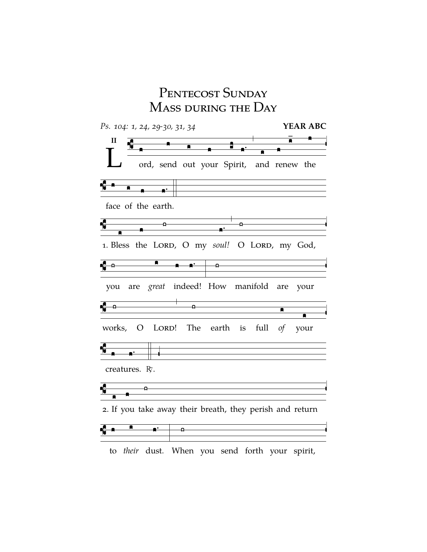## PENTECOST SUNDAY Mass during the Day



to *their* dust. When you send forth your spirit,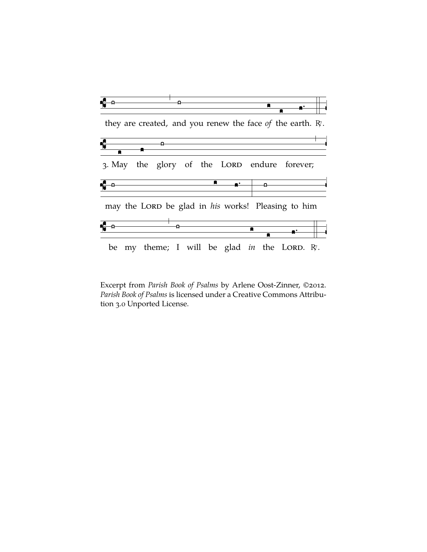

Excerpt from *Parish Book of Psalms* by Arlene Oost-Zinner, ©2012. *Parish Book of Psalms* is licensed under a Creative Commons Attribution 3.0 Unported License.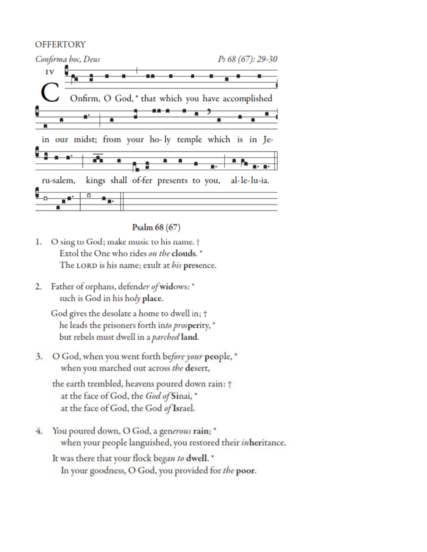## **OFFERTORY**



Psalm 68 (67)

- O sing to God; make music to his name. † ı. Extol the One who rides on the clouds. \* The LORD is his name; exult at his presence.
- Father of orphans, defend*er of* widows: \* 2. such is God in his holy place.

God gives the desolate a home to dwell in; † he leads the prisoners forth into prosperity, \* but rebels must dwell in a parched land.

3. O God, when you went forth before your people, \* when you marched out across the desert,

the earth trembled, heavens poured down rain: † at the face of God, the God of Sinai, \* at the face of God, the God of Israel.

4. You poured down, O God, a generous rain; \* when your people languished, you restored their inheritance.

It was there that your flock began to dwell. \* In your goodness, O God, you provided for the poor.